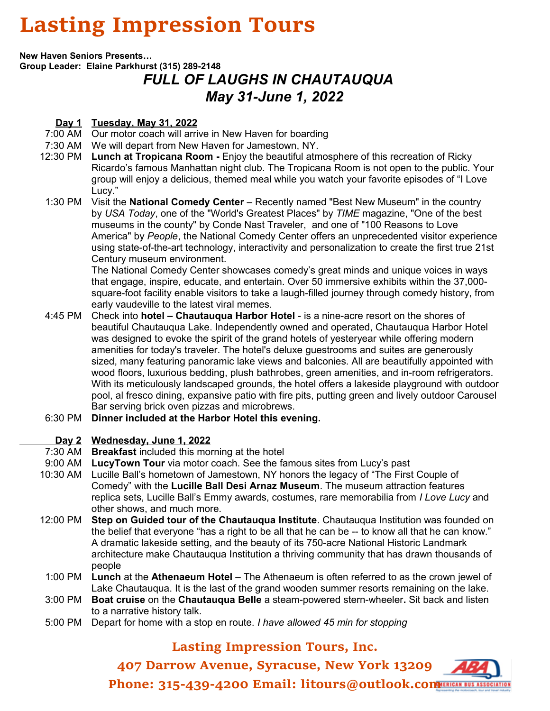## **Lasting Impression Tours**

**New Haven Seniors Presents…**

**Group Leader: Elaine Parkhurst (315) 289-2148**

## *FULL OF LAUGHS IN CHAUTAUQUA May 31-June 1, 2022*

## **Day 1 Tuesday, May 31, 2022**

- 7:00 AM Our motor coach will arrive in New Haven for boarding
- 7:30 AM We will depart from New Haven for Jamestown, NY.
- 12:30 PM **Lunch at Tropicana Room** Enjoy the beautiful atmosphere of this recreation of Ricky Ricardo's famous Manhattan night club. The Tropicana Room is not open to the public. Your group will enjoy a delicious, themed meal while you watch your favorite episodes of "I Love Lucy."
- 1:30 PM Visit the **National Comedy Center** Recently named "Best New Museum" in the country by *USA Today*, one of the "World's Greatest Places" by *TIME* magazine, "One of the best museums in the county" by Conde Nast Traveler, and one of "100 Reasons to Love America" by *People*, the National Comedy Center offers an unprecedented visitor experience using state-of-the-art technology, interactivity and personalization to create the first true 21st Century museum environment.

The National Comedy Center showcases comedy's great minds and unique voices in ways that engage, inspire, educate, and entertain. Over 50 immersive exhibits within the 37,000 square-foot facility enable visitors to take a laugh-filled journey through comedy history, from early vaudeville to the latest viral memes.

- 4:45 PM Check into **hotel – Chautauqua Harbor Hotel** is a nine-acre resort on the shores of beautiful Chautauqua Lake. Independently owned and operated, Chautauqua Harbor Hotel was designed to evoke the spirit of the grand hotels of yesteryear while offering modern amenities for today's traveler. The hotel's deluxe guestrooms and suites are generously sized, many featuring panoramic lake views and balconies. All are beautifully appointed with wood floors, luxurious bedding, plush bathrobes, green amenities, and in-room refrigerators. With its meticulously landscaped grounds, the hotel offers a lakeside playground with outdoor pool, al fresco dining, expansive patio with fire pits, putting green and lively outdoor Carousel Bar serving brick oven pizzas and microbrews.
- 6:30 PM **Dinner included at the Harbor Hotel this evening.**

## **Day 2 Wednesday, June 1, 2022**

- 7:30 AM **Breakfast** included this morning at the hotel
- 9:00 AM **LucyTown Tour** via motor coach. See the famous sites from Lucy's past
- 10:30 AM Lucille Ball's hometown of Jamestown, NY honors the legacy of "The First Couple of Comedy" with the **Lucille Ball Desi Arnaz Museum**. The museum attraction features replica sets, Lucille Ball's Emmy awards, costumes, rare memorabilia from *I Love Lucy* and other shows, and much more.
- 12:00 PM **Step on Guided tour of the Chautauqua Institute**. Chautauqua Institution was founded on the belief that everyone "has a right to be all that he can be -- to know all that he can know." A dramatic lakeside setting, and the beauty of its 750-acre National Historic Landmark architecture make Chautauqua Institution a thriving community that has drawn thousands of people
- 1:00 PM **Lunch** at the **Athenaeum Hotel** The Athenaeum is often referred to as the crown jewel of Lake Chautauqua. It is the last of the grand wooden summer resorts remaining on the lake.
- 3:00 PM **Boat cruise** on the **Chautauqua Belle** a steam-powered stern-wheeler**.** Sit back and listen to a narrative history talk.
- 5:00 PM Depart for home with a stop en route. *I have allowed 45 min for stopping*

## **Lasting Impression Tours, Inc.**

**407 Darrow Avenue, Syracuse, New York 13209** Phone: 315-439-4200 Email: litours@outlook.com